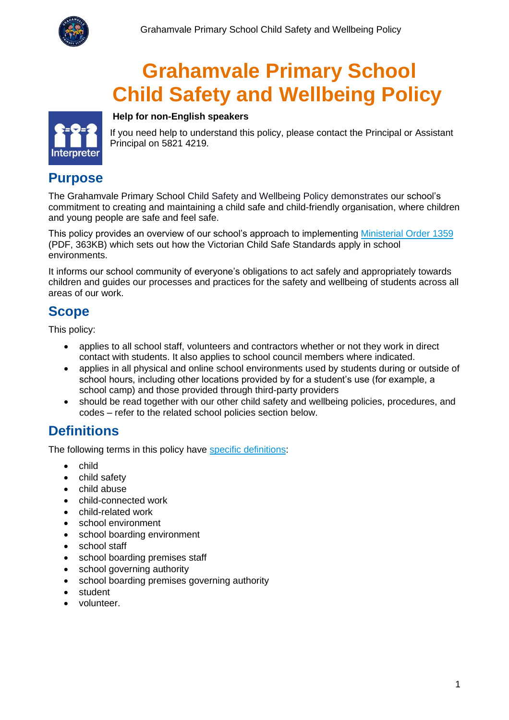

# **Grahamvale Primary School Child Safety and Wellbeing Policy**



If you need help to understand this policy, please contact the Principal or Assistant Principal on 5821 4219.

### **Purpose**

The Grahamvale Primary School Child Safety and Wellbeing Policy demonstrates our school's commitment to creating and maintaining a child safe and child-friendly organisation, where children and young people are safe and feel safe.

This policy provides an overview of our school's approach to implementing [Ministerial Order 1359](https://www.education.vic.gov.au/Documents/about/programs/health/protect/Ministerial_Order.pdf) (PDF, 363KB) which sets out how the Victorian Child Safe Standards apply in school environments.

It informs our school community of everyone's obligations to act safely and appropriately towards children and guides our processes and practices for the safety and wellbeing of students across all areas of our work.

# **Scope**

This policy:

- applies to all school staff, volunteers and contractors whether or not they work in direct contact with students. It also applies to school council members where indicated.
- applies in all physical and online school environments used by students during or outside of school hours, including other locations provided by for a student's use (for example, a school camp) and those provided through third-party providers
- should be read together with our other child safety and wellbeing policies, procedures, and codes – refer to the related school policies section below.

# **Definitions**

The following terms in this policy have [specific definitions:](https://www.vic.gov.au/child-safe-standards-definitions)

**Help for non-English speakers**

- child
- child safety
- child abuse
- child-connected work
- child-related work
- school environment
- school boarding environment
- school staff
- school boarding premises staff
- school governing authority
- school boarding premises governing authority
- student
- volunteer.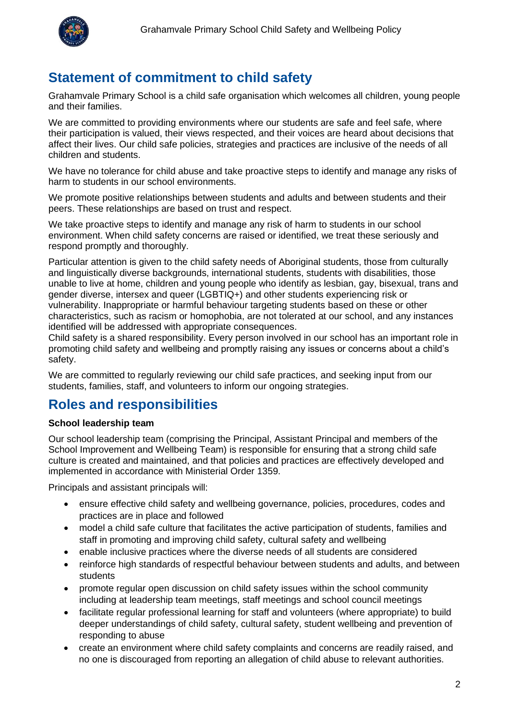

# **Statement of commitment to child safety**

Grahamvale Primary School is a child safe organisation which welcomes all children, young people and their families.

We are committed to providing environments where our students are safe and feel safe, where their participation is valued, their views respected, and their voices are heard about decisions that affect their lives. Our child safe policies, strategies and practices are inclusive of the needs of all children and students.

We have no tolerance for child abuse and take proactive steps to identify and manage any risks of harm to students in our school environments.

We promote positive relationships between students and adults and between students and their peers. These relationships are based on trust and respect.

We take proactive steps to identify and manage any risk of harm to students in our school environment. When child safety concerns are raised or identified, we treat these seriously and respond promptly and thoroughly.

Particular attention is given to the child safety needs of Aboriginal students, those from culturally and linguistically diverse backgrounds, international students, students with disabilities, those unable to live at home, children and young people who identify as lesbian, gay, bisexual, trans and gender diverse, intersex and queer (LGBTIQ+) and other students experiencing risk or vulnerability. Inappropriate or harmful behaviour targeting students based on these or other characteristics, such as racism or homophobia, are not tolerated at our school, and any instances identified will be addressed with appropriate consequences.

Child safety is a shared responsibility. Every person involved in our school has an important role in promoting child safety and wellbeing and promptly raising any issues or concerns about a child's safety.

We are committed to regularly reviewing our child safe practices, and seeking input from our students, families, staff, and volunteers to inform our ongoing strategies.

### **Roles and responsibilities**

#### **School leadership team**

Our school leadership team (comprising the Principal, Assistant Principal and members of the School Improvement and Wellbeing Team) is responsible for ensuring that a strong child safe culture is created and maintained, and that policies and practices are effectively developed and implemented in accordance with Ministerial Order 1359.

Principals and assistant principals will:

- ensure effective child safety and wellbeing governance, policies, procedures, codes and practices are in place and followed
- model a child safe culture that facilitates the active participation of students, families and staff in promoting and improving child safety, cultural safety and wellbeing
- enable inclusive practices where the diverse needs of all students are considered
- reinforce high standards of respectful behaviour between students and adults, and between students
- promote regular open discussion on child safety issues within the school community including at leadership team meetings, staff meetings and school council meetings
- facilitate regular professional learning for staff and volunteers (where appropriate) to build deeper understandings of child safety, cultural safety, student wellbeing and prevention of responding to abuse
- create an environment where child safety complaints and concerns are readily raised, and no one is discouraged from reporting an allegation of child abuse to relevant authorities.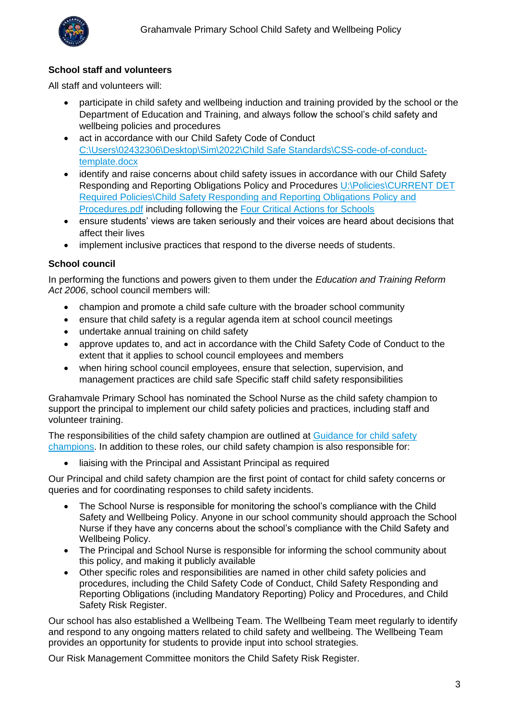

#### **School staff and volunteers**

All staff and volunteers will:

- participate in child safety and wellbeing induction and training provided by the school or the Department of Education and Training, and always follow the school's child safety and wellbeing policies and procedures
- act in accordance with our Child Safety Code of Conduct [C:\Users\02432306\Desktop\Sim\2022\Child Safe Standards\CSS-code-of-conduct](file:///C:/Users/02432306/Desktop/Sim/2022/Child%20Safe%20Standards/CSS-code-of-conduct-template.docx)[template.docx](file:///C:/Users/02432306/Desktop/Sim/2022/Child%20Safe%20Standards/CSS-code-of-conduct-template.docx)
- identify and raise concerns about child safety issues in accordance with our Child Safety Responding and Reporting Obligations Policy and Procedures U:\Policies\CURRENT DET [Required Policies\Child Safety Responding and Reporting Obligations Policy and](file://///3696AFS01/Users/Policies/CURRENT%20DET%20Required%20Policies/Child%20Safety%20Responding%20and%20Reporting%20Obligations%20Policy%20and%20Procedures.pdf)  **[Procedures.pdf](file://///3696AFS01/Users/Policies/CURRENT%20DET%20Required%20Policies/Child%20Safety%20Responding%20and%20Reporting%20Obligations%20Policy%20and%20Procedures.pdf) including following the [Four Critical Actions for Schools](https://www.education.vic.gov.au/school/teachers/health/childprotection/Pages/report.aspx)**
- ensure students' views are taken seriously and their voices are heard about decisions that affect their lives
- implement inclusive practices that respond to the diverse needs of students.

#### **School council**

In performing the functions and powers given to them under the *Education and Training Reform Act 2006*, school council members will:

- champion and promote a child safe culture with the broader school community
- ensure that child safety is a regular agenda item at school council meetings
- undertake annual training on child safety
- approve updates to, and act in accordance with the Child Safety Code of Conduct to the extent that it applies to school council employees and members
- when hiring school council employees, ensure that selection, supervision, and management practices are child safe Specific staff child safety responsibilities

Grahamvale Primary School has nominated the School Nurse as the child safety champion to support the principal to implement our child safety policies and practices, including staff and volunteer training.

The responsibilities of the child safety champion are outlined at Guidance for child safety [champions.](https://www.vic.gov.au/guidance-child-safety-champions) In addition to these roles, our child safety champion is also responsible for:

• liaising with the Principal and Assistant Principal as required

Our Principal and child safety champion are the first point of contact for child safety concerns or queries and for coordinating responses to child safety incidents.

- The School Nurse is responsible for monitoring the school's compliance with the Child Safety and Wellbeing Policy. Anyone in our school community should approach the School Nurse if they have any concerns about the school's compliance with the Child Safety and Wellbeing Policy.
- The Principal and School Nurse is responsible for informing the school community about this policy, and making it publicly available
- Other specific roles and responsibilities are named in other child safety policies and procedures, including the Child Safety Code of Conduct, Child Safety Responding and Reporting Obligations (including Mandatory Reporting) Policy and Procedures, and Child Safety Risk Register.

Our school has also established a Wellbeing Team. The Wellbeing Team meet regularly to identify and respond to any ongoing matters related to child safety and wellbeing. The Wellbeing Team provides an opportunity for students to provide input into school strategies.

Our Risk Management Committee monitors the Child Safety Risk Register.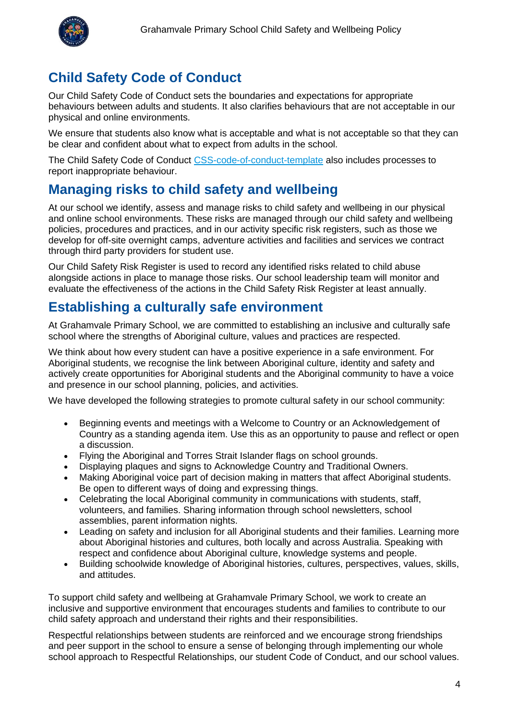

# **Child Safety Code of Conduct**

Our Child Safety Code of Conduct sets the boundaries and expectations for appropriate behaviours between adults and students. It also clarifies behaviours that are not acceptable in our physical and online environments.

We ensure that students also know what is acceptable and what is not acceptable so that they can be clear and confident about what to expect from adults in the school.

The Child Safety Code of Conduct [CSS-code-of-conduct-template](https://www.education.vic.gov.au/Documents/about/programs/health/protect/CSS-code-of-conduct-template.docx?web=1) also includes processes to report inappropriate behaviour.

# **Managing risks to child safety and wellbeing**

At our school we identify, assess and manage risks to child safety and wellbeing in our physical and online school environments. These risks are managed through our child safety and wellbeing policies, procedures and practices, and in our activity specific risk registers, such as those we develop for off-site overnight camps, adventure activities and facilities and services we contract through third party providers for student use.

Our Child Safety Risk Register is used to record any identified risks related to child abuse alongside actions in place to manage those risks. Our school leadership team will monitor and evaluate the effectiveness of the actions in the Child Safety Risk Register at least annually.

### **Establishing a culturally safe environment**

At Grahamvale Primary School, we are committed to establishing an inclusive and culturally safe school where the strengths of Aboriginal culture, values and practices are respected.

We think about how every student can have a positive experience in a safe environment. For Aboriginal students, we recognise the link between Aboriginal culture, identity and safety and actively create opportunities for Aboriginal students and the Aboriginal community to have a voice and presence in our school planning, policies, and activities.

We have developed the following strategies to promote cultural safety in our school community:

- Beginning events and meetings with a Welcome to Country or an Acknowledgement of Country as a standing agenda item. Use this as an opportunity to pause and reflect or open a discussion.
- Flying the Aboriginal and Torres Strait Islander flags on school grounds.
- Displaying plaques and signs to Acknowledge Country and Traditional Owners.
- Making Aboriginal voice part of decision making in matters that affect Aboriginal students. Be open to different ways of doing and expressing things.
- Celebrating the local Aboriginal community in communications with students, staff, volunteers, and families. Sharing information through school newsletters, school assemblies, parent information nights.
- Leading on safety and inclusion for all Aboriginal students and their families. Learning more about Aboriginal histories and cultures, both locally and across Australia. Speaking with respect and confidence about Aboriginal culture, knowledge systems and people.
- Building schoolwide knowledge of Aboriginal histories, cultures, perspectives, values, skills, and attitudes.

To support child safety and wellbeing at Grahamvale Primary School, we work to create an inclusive and supportive environment that encourages students and families to contribute to our child safety approach and understand their rights and their responsibilities.

Respectful relationships between students are reinforced and we encourage strong friendships and peer support in the school to ensure a sense of belonging through implementing our whole school approach to Respectful Relationships, our student Code of Conduct, and our school values.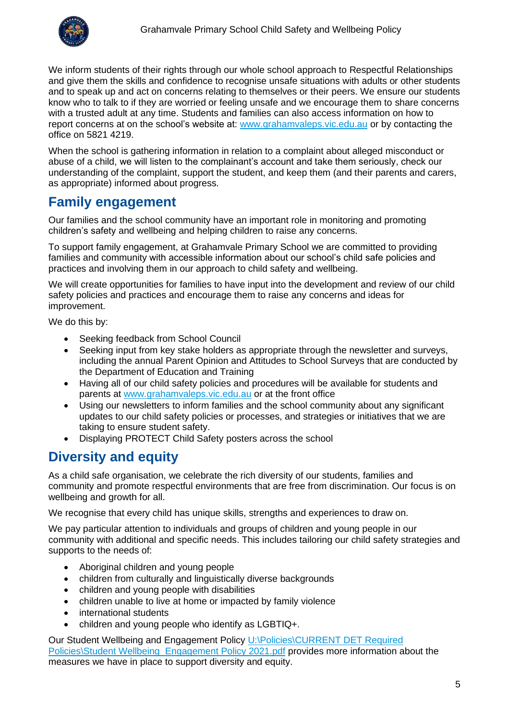

We inform students of their rights through our whole school approach to Respectful Relationships and give them the skills and confidence to recognise unsafe situations with adults or other students and to speak up and act on concerns relating to themselves or their peers. We ensure our students know who to talk to if they are worried or feeling unsafe and we encourage them to share concerns with a trusted adult at any time. Students and families can also access information on how to report concerns at on the school's website at: [www.grahamvaleps.vic.edu.au](http://www.grahamvaleps.vic.edu.au/) or by contacting the office on 5821 4219.

When the school is gathering information in relation to a complaint about alleged misconduct or abuse of a child, we will listen to the complainant's account and take them seriously, check our understanding of the complaint, support the student, and keep them (and their parents and carers, as appropriate) informed about progress.

### **Family engagement**

Our families and the school community have an important role in monitoring and promoting children's safety and wellbeing and helping children to raise any concerns.

To support family engagement, at Grahamvale Primary School we are committed to providing families and community with accessible information about our school's child safe policies and practices and involving them in our approach to child safety and wellbeing.

We will create opportunities for families to have input into the development and review of our child safety policies and practices and encourage them to raise any concerns and ideas for improvement.

We do this by:

- Seeking feedback from School Council
- Seeking input from key stake holders as appropriate through the newsletter and surveys, including the annual Parent Opinion and Attitudes to School Surveys that are conducted by the Department of Education and Training
- Having all of our child safety policies and procedures will be available for students and parents at [www.grahamvaleps.vic.edu.au](http://www.grahamvaleps.vic.edu.au/) or at the front office
- Using our newsletters to inform families and the school community about any significant updates to our child safety policies or processes, and strategies or initiatives that we are taking to ensure student safety.
- Displaying PROTECT Child Safety posters across the school

# **Diversity and equity**

As a child safe organisation, we celebrate the rich diversity of our students, families and community and promote respectful environments that are free from discrimination. Our focus is on wellbeing and growth for all.

We recognise that every child has unique skills, strengths and experiences to draw on.

We pay particular attention to individuals and groups of children and young people in our community with additional and specific needs. This includes tailoring our child safety strategies and supports to the needs of:

- Aboriginal children and young people
- children from culturally and linguistically diverse backgrounds
- children and young people with disabilities
- children unable to live at home or impacted by family violence
- international students
- children and young people who identify as LGBTIQ+.

Our Student Wellbeing and Engagement Policy U:\Policies\CURRENT DET Required [Policies\Student Wellbeing Engagement Policy 2021.pdf](file://///3696AFS01/Users/Policies/CURRENT%20DET%20Required%20Policies/Student%20Wellbeing%20%20Engagement%20Policy%202021.pdf) provides more information about the measures we have in place to support diversity and equity.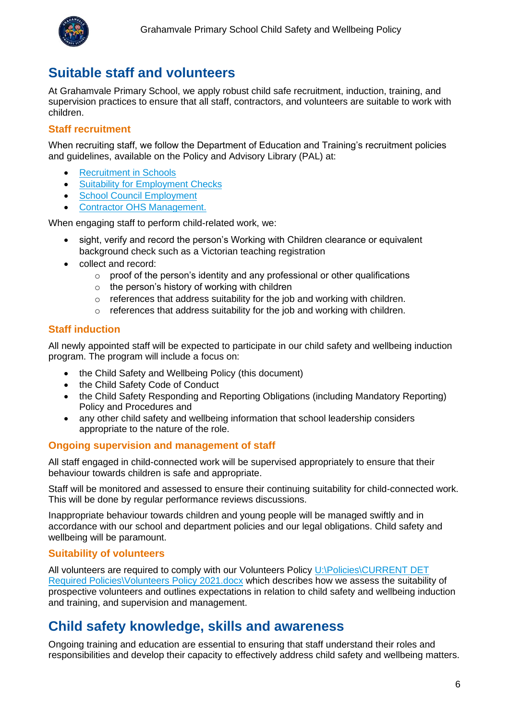

# **Suitable staff and volunteers**

At Grahamvale Primary School, we apply robust child safe recruitment, induction, training, and supervision practices to ensure that all staff, contractors, and volunteers are suitable to work with children.

#### **Staff recruitment**

When recruiting staff, we follow the Department of Education and Training's recruitment policies and guidelines, available on the Policy and Advisory Library (PAL) at:

- **[Recruitment in Schools](https://www2.education.vic.gov.au/pal/recruitment-schools/overview)**
- [Suitability for Employment Checks](https://www2.education.vic.gov.au/pal/suitability-employment-checks/overview)
- [School Council Employment](https://www2.education.vic.gov.au/pal/school-council-employment/overview)
- [Contractor OHS Management.](https://www2.education.vic.gov.au/pal/contractor-ohs-management/policy)

When engaging staff to perform child-related work, we:

- sight, verify and record the person's Working with Children clearance or equivalent background check such as a Victorian teaching registration
- collect and record:
	- o proof of the person's identity and any professional or other qualifications
	- $\circ$  the person's history of working with children
	- o references that address suitability for the job and working with children.
	- o references that address suitability for the job and working with children.

#### **Staff induction**

All newly appointed staff will be expected to participate in our child safety and wellbeing induction program. The program will include a focus on:

- the Child Safety and Wellbeing Policy (this document)
- the Child Safety Code of Conduct
- the Child Safety Responding and Reporting Obligations (including Mandatory Reporting) Policy and Procedures and
- any other child safety and wellbeing information that school leadership considers appropriate to the nature of the role.

#### **Ongoing supervision and management of staff**

All staff engaged in child-connected work will be supervised appropriately to ensure that their behaviour towards children is safe and appropriate.

Staff will be monitored and assessed to ensure their continuing suitability for child-connected work. This will be done by regular performance reviews discussions.

Inappropriate behaviour towards children and young people will be managed swiftly and in accordance with our school and department policies and our legal obligations. Child safety and wellbeing will be paramount.

#### **Suitability of volunteers**

All volunteers are required to comply with our Volunteers Policy U:\Policies\CURRENT DET [Required Policies\Volunteers Policy 2021.docx](file://///3696AFS01/Users/Policies/CURRENT%20DET%20Required%20Policies/Volunteers%20Policy%202021.docx) which describes how we assess the suitability of prospective volunteers and outlines expectations in relation to child safety and wellbeing induction and training, and supervision and management.

### **Child safety knowledge, skills and awareness**

Ongoing training and education are essential to ensuring that staff understand their roles and responsibilities and develop their capacity to effectively address child safety and wellbeing matters.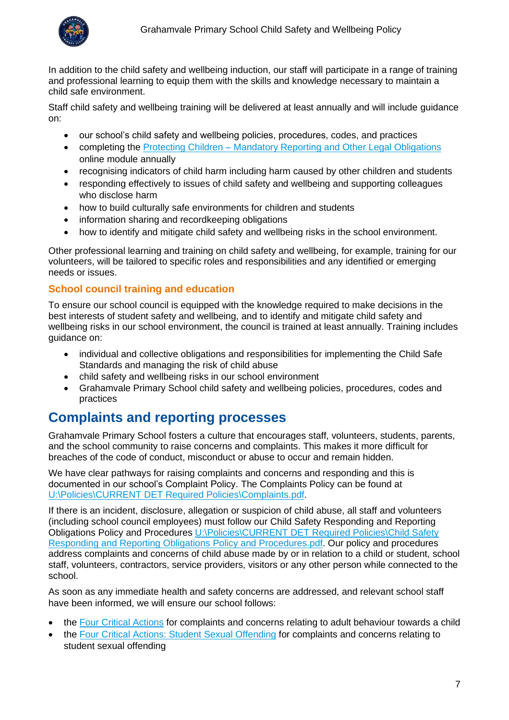

In addition to the child safety and wellbeing induction, our staff will participate in a range of training and professional learning to equip them with the skills and knowledge necessary to maintain a child safe environment.

Staff child safety and wellbeing training will be delivered at least annually and will include guidance on:

- our school's child safety and wellbeing policies, procedures, codes, and practices
- completing the Protecting Children [Mandatory Reporting and Other](http://elearn.com.au/det/protectingchildren/) Legal Obligations online module annually
- recognising indicators of child harm including harm caused by other children and students
- responding effectively to issues of child safety and wellbeing and supporting colleagues who disclose harm
- how to build culturally safe environments for children and students
- information sharing and recordkeeping obligations
- how to identify and mitigate child safety and wellbeing risks in the school environment.

Other professional learning and training on child safety and wellbeing, for example, training for our volunteers, will be tailored to specific roles and responsibilities and any identified or emerging needs or issues.

#### **School council training and education**

To ensure our school council is equipped with the knowledge required to make decisions in the best interests of student safety and wellbeing, and to identify and mitigate child safety and wellbeing risks in our school environment, the council is trained at least annually. Training includes guidance on:

- individual and collective obligations and responsibilities for implementing the Child Safe Standards and managing the risk of child abuse
- child safety and wellbeing risks in our school environment
- Grahamvale Primary School child safety and wellbeing policies, procedures, codes and practices

### **Complaints and reporting processes**

Grahamvale Primary School fosters a culture that encourages staff, volunteers, students, parents, and the school community to raise concerns and complaints. This makes it more difficult for breaches of the code of conduct, misconduct or abuse to occur and remain hidden.

We have clear pathways for raising complaints and concerns and responding and this is documented in our school's Complaint Policy. The Complaints Policy can be found at [U:\Policies\CURRENT DET Required Policies\Complaints.pdf.](file://///3696AFS01/Users/Policies/CURRENT%20DET%20Required%20Policies/Complaints.pdf)

If there is an incident, disclosure, allegation or suspicion of child abuse, all staff and volunteers (including school council employees) must follow our Child Safety Responding and Reporting Obligations Policy and Procedures [U:\Policies\CURRENT DET Required Policies\Child Safety](file://///3696AFS01/Users/Policies/CURRENT%20DET%20Required%20Policies/Child%20Safety%20Responding%20and%20Reporting%20Obligations%20Policy%20and%20Procedures.pdf)  [Responding and Reporting Obligations](file://///3696AFS01/Users/Policies/CURRENT%20DET%20Required%20Policies/Child%20Safety%20Responding%20and%20Reporting%20Obligations%20Policy%20and%20Procedures.pdf) Policy and Procedures.pdf. Our policy and procedures address complaints and concerns of child abuse made by or in relation to a child or student, school staff, volunteers, contractors, service providers, visitors or any other person while connected to the school.

As soon as any immediate health and safety concerns are addressed, and relevant school staff have been informed, we will ensure our school follows:

- the [Four Critical Actions](https://www.education.vic.gov.au/Documents/about/programs/health/protect/FourCriticalActions_ChildAbuse.pdf) for complaints and concerns relating to adult behaviour towards a child
- the [Four Critical Actions: Student Sexual Offending](https://www.education.vic.gov.au/school/teachers/health/childprotection/Pages/stusexual.aspx) for complaints and concerns relating to student sexual offending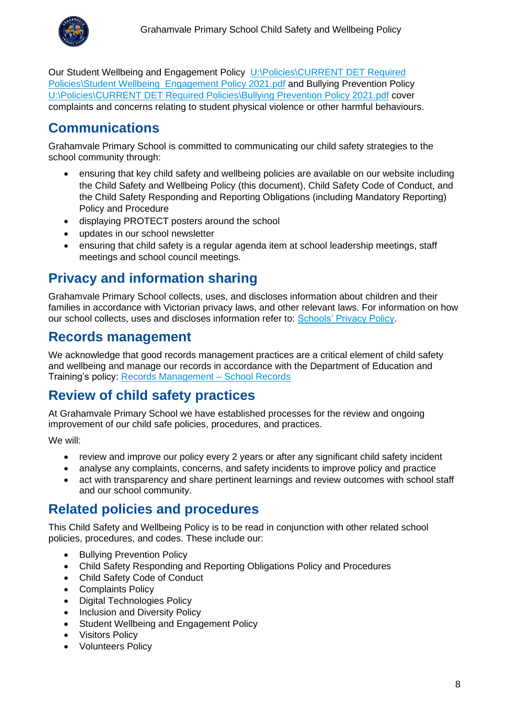

Our Student Wellbeing and Engagement Policy U:\Policies\CURRENT DET Required [Policies\Student Wellbeing Engagement Policy 2021.pdf](file://///3696AFS01/Users/Policies/CURRENT%20DET%20Required%20Policies/Student%20Wellbeing%20%20Engagement%20Policy%202021.pdf) and Bullying Prevention Policy [U:\Policies\CURRENT DET Required Policies\Bullying Prevention Policy 2021.pdf](file://///3696AFS01/Users/Policies/CURRENT%20DET%20Required%20Policies/Bullying%20Prevention%20Policy%202021.pdf) cover complaints and concerns relating to student physical violence or other harmful behaviours.

# **Communications**

Grahamvale Primary School is committed to communicating our child safety strategies to the school community through:

- ensuring that key child safety and wellbeing policies are available on our website including the Child Safety and Wellbeing Policy (this document), Child Safety Code of Conduct, and the Child Safety Responding and Reporting Obligations (including Mandatory Reporting) Policy and Procedure
- displaying PROTECT posters around the school
- updates in our school newsletter
- ensuring that child safety is a regular agenda item at school leadership meetings, staff meetings and school council meetings.

# **Privacy and information sharing**

Grahamvale Primary School collects, uses, and discloses information about children and their families in accordance with Victorian privacy laws, and other relevant laws. For information on how our school collects, uses and discloses information refer to: [Schools' Privacy Policy.](https://www.education.vic.gov.au/Pages/schoolsprivacypolicy.aspx)

### **Records management**

We acknowledge that good records management practices are a critical element of child safety and wellbeing and manage our records in accordance with the Department of Education and Training's policy: [Records Management –](https://www2.education.vic.gov.au/pal/records-management/policy) School Records

# **Review of child safety practices**

At Grahamvale Primary School we have established processes for the review and ongoing improvement of our child safe policies, procedures, and practices.

We will:

- review and improve our policy every 2 years or after any significant child safety incident
- analyse any complaints, concerns, and safety incidents to improve policy and practice
- act with transparency and share pertinent learnings and review outcomes with school staff and our school community.

### **Related policies and procedures**

This Child Safety and Wellbeing Policy is to be read in conjunction with other related school policies, procedures, and codes. These include our:

- Bullying Prevention Policy
- Child Safety Responding and Reporting Obligations Policy and Procedures
- Child Safety Code of Conduct
- Complaints Policy
- Digital Technologies Policy
- Inclusion and Diversity Policy
- Student Wellbeing and Engagement Policy
- Visitors Policy
- Volunteers Policy